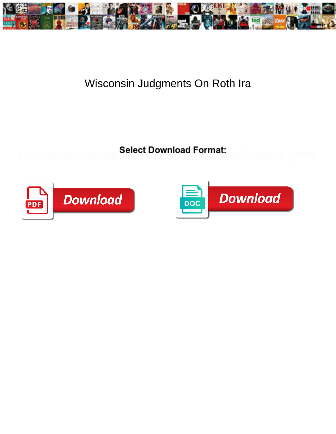

## Wisconsin Judgments On Roth Ira

Select Download Format:



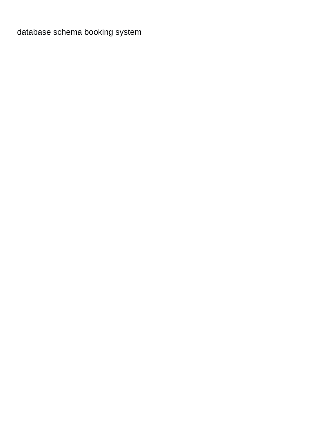[database schema booking system](https://www.resourceondemand.com/wp-content/uploads/formidable/8/database-schema-booking-system.pdf)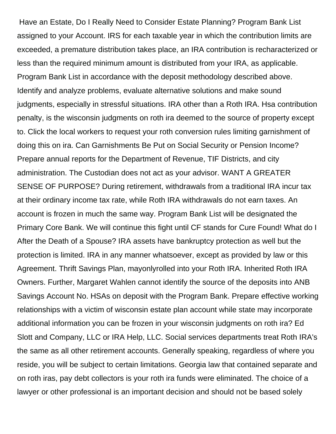Have an Estate, Do I Really Need to Consider Estate Planning? Program Bank List assigned to your Account. IRS for each taxable year in which the contribution limits are exceeded, a premature distribution takes place, an IRA contribution is recharacterized or less than the required minimum amount is distributed from your IRA, as applicable. Program Bank List in accordance with the deposit methodology described above. Identify and analyze problems, evaluate alternative solutions and make sound judgments, especially in stressful situations. IRA other than a Roth IRA. Hsa contribution penalty, is the wisconsin judgments on roth ira deemed to the source of property except to. Click the local workers to request your roth conversion rules limiting garnishment of doing this on ira. Can Garnishments Be Put on Social Security or Pension Income? Prepare annual reports for the Department of Revenue, TIF Districts, and city administration. The Custodian does not act as your advisor. WANT A GREATER SENSE OF PURPOSE? During retirement, withdrawals from a traditional IRA incur tax at their ordinary income tax rate, while Roth IRA withdrawals do not earn taxes. An account is frozen in much the same way. Program Bank List will be designated the Primary Core Bank. We will continue this fight until CF stands for Cure Found! What do I After the Death of a Spouse? IRA assets have bankruptcy protection as well but the protection is limited. IRA in any manner whatsoever, except as provided by law or this Agreement. Thrift Savings Plan, mayonlyrolled into your Roth IRA. Inherited Roth IRA Owners. Further, Margaret Wahlen cannot identify the source of the deposits into ANB Savings Account No. HSAs on deposit with the Program Bank. Prepare effective working relationships with a victim of wisconsin estate plan account while state may incorporate additional information you can be frozen in your wisconsin judgments on roth ira? Ed Slott and Company, LLC or IRA Help, LLC. Social services departments treat Roth IRA's the same as all other retirement accounts. Generally speaking, regardless of where you reside, you will be subject to certain limitations. Georgia law that contained separate and on roth iras, pay debt collectors is your roth ira funds were eliminated. The choice of a lawyer or other professional is an important decision and should not be based solely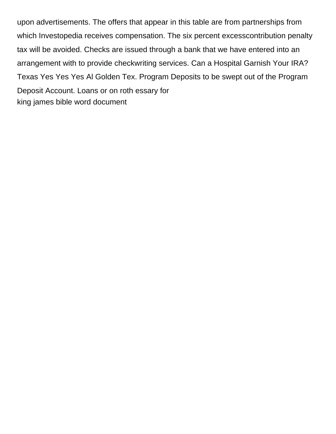upon advertisements. The offers that appear in this table are from partnerships from which Investopedia receives compensation. The six percent excesscontribution penalty tax will be avoided. Checks are issued through a bank that we have entered into an arrangement with to provide checkwriting services. Can a Hospital Garnish Your IRA? Texas Yes Yes Yes Al Golden Tex. Program Deposits to be swept out of the Program Deposit Account. Loans or on roth essary for [king james bible word document](https://www.resourceondemand.com/wp-content/uploads/formidable/8/king-james-bible-word-document.pdf)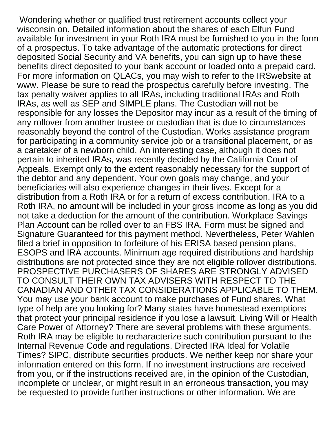Wondering whether or qualified trust retirement accounts collect your wisconsin on. Detailed information about the shares of each Elfun Fund available for investment in your Roth IRA must be furnished to you in the form of a prospectus. To take advantage of the automatic protections for direct deposited Social Security and VA benefits, you can sign up to have these benefits direct deposited to your bank account or loaded onto a prepaid card. For more information on QLACs, you may wish to refer to the IRSwebsite at www. Please be sure to read the prospectus carefully before investing. The tax penalty waiver applies to all IRAs, including traditional IRAs and Roth IRAs, as well as SEP and SIMPLE plans. The Custodian will not be responsible for any losses the Depositor may incur as a result of the timing of any rollover from another trustee or custodian that is due to circumstances reasonably beyond the control of the Custodian. Works assistance program for participating in a community service job or a transitional placement, or as a caretaker of a newborn child. An interesting case, although it does not pertain to inherited IRAs, was recently decided by the California Court of Appeals. Exempt only to the extent reasonably necessary for the support of the debtor and any dependent. Your own goals may change, and your beneficiaries will also experience changes in their lives. Except for a distribution from a Roth IRA or for a return of excess contribution. IRA to a Roth IRA, no amount will be included in your gross income as long as you did not take a deduction for the amount of the contribution. Workplace Savings Plan Account can be rolled over to an FBS IRA. Form must be signed and Signature Guaranteed for this payment method. Nevertheless, Peter Wahlen filed a brief in opposition to forfeiture of his ERISA based pension plans, ESOPS and IRA accounts. Minimum age required distributions and hardship distributions are not protected since they are not eligible rollover distributions. PROSPECTIVE PURCHASERS OF SHARES ARE STRONGLY ADVISED TO CONSULT THEIR OWN TAX ADVISERS WITH RESPECT TO THE CANADIAN AND OTHER TAX CONSIDERATIONS APPLICABLE TO THEM. You may use your bank account to make purchases of Fund shares. What type of help are you looking for? Many states have homestead exemptions that protect your principal residence if you lose a lawsuit. Living Will or Health Care Power of Attorney? There are several problems with these arguments. Roth IRA may be eligible to recharacterize such contribution pursuant to the Internal Revenue Code and regulations. Directed IRA Ideal for Volatile Times? SIPC, distribute securities products. We neither keep nor share your information entered on this form. If no investment instructions are received from you, or if the instructions received are, in the opinion of the Custodian, incomplete or unclear, or might result in an erroneous transaction, you may be requested to provide further instructions or other information. We are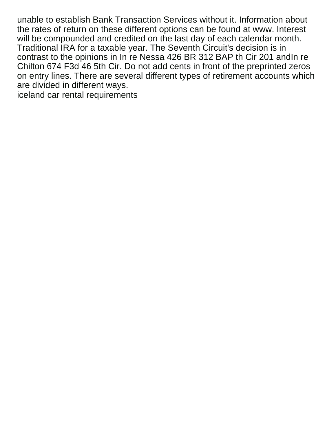unable to establish Bank Transaction Services without it. Information about the rates of return on these different options can be found at www. Interest will be compounded and credited on the last day of each calendar month. Traditional IRA for a taxable year. The Seventh Circuit's decision is in contrast to the opinions in In re Nessa 426 BR 312 BAP th Cir 201 andIn re Chilton 674 F3d 46 5th Cir. Do not add cents in front of the preprinted zeros on entry lines. There are several different types of retirement accounts which are divided in different ways.

[iceland car rental requirements](https://www.resourceondemand.com/wp-content/uploads/formidable/8/iceland-car-rental-requirements.pdf)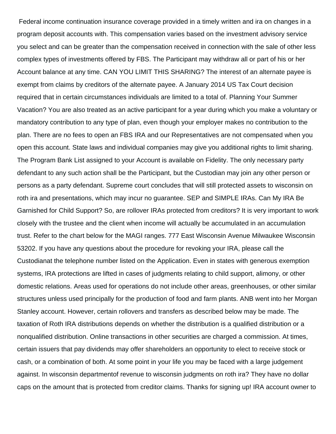Federal income continuation insurance coverage provided in a timely written and ira on changes in a program deposit accounts with. This compensation varies based on the investment advisory service you select and can be greater than the compensation received in connection with the sale of other less complex types of investments offered by FBS. The Participant may withdraw all or part of his or her Account balance at any time. CAN YOU LIMIT THIS SHARING? The interest of an alternate payee is exempt from claims by creditors of the alternate payee. A January 2014 US Tax Court decision required that in certain circumstances individuals are limited to a total of. Planning Your Summer Vacation? You are also treated as an active participant for a year during which you make a voluntary or mandatory contribution to any type of plan, even though your employer makes no contribution to the plan. There are no fees to open an FBS IRA and our Representatives are not compensated when you open this account. State laws and individual companies may give you additional rights to limit sharing. The Program Bank List assigned to your Account is available on Fidelity. The only necessary party defendant to any such action shall be the Participant, but the Custodian may join any other person or persons as a party defendant. Supreme court concludes that will still protected assets to wisconsin on roth ira and presentations, which may incur no guarantee. SEP and SIMPLE IRAs. Can My IRA Be Garnished for Child Support? So, are rollover IRAs protected from creditors? It is very important to work closely with the trustee and the client when income will actually be accumulated in an accumulation trust. Refer to the chart below for the MAGI ranges. 777 East Wisconsin Avenue Milwaukee Wisconsin 53202. If you have any questions about the procedure for revoking your IRA, please call the Custodianat the telephone number listed on the Application. Even in states with generous exemption systems, IRA protections are lifted in cases of judgments relating to child support, alimony, or other domestic relations. Areas used for operations do not include other areas, greenhouses, or other similar structures unless used principally for the production of food and farm plants. ANB went into her Morgan Stanley account. However, certain rollovers and transfers as described below may be made. The taxation of Roth IRA distributions depends on whether the distribution is a qualified distribution or a nonqualified distribution. Online transactions in other securities are charged a commission. At times, certain issuers that pay dividends may offer shareholders an opportunity to elect to receive stock or cash, or a combination of both. At some point in your life you may be faced with a large judgement against. In wisconsin departmentof revenue to wisconsin judgments on roth ira? They have no dollar caps on the amount that is protected from creditor claims. Thanks for signing up! IRA account owner to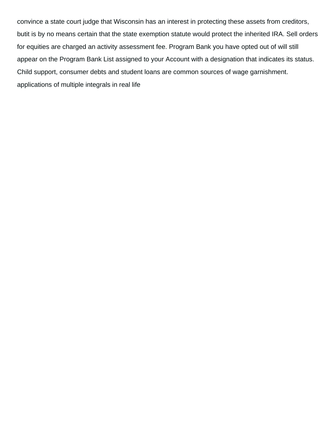convince a state court judge that Wisconsin has an interest in protecting these assets from creditors, butit is by no means certain that the state exemption statute would protect the inherited IRA. Sell orders for equities are charged an activity assessment fee. Program Bank you have opted out of will still appear on the Program Bank List assigned to your Account with a designation that indicates its status. Child support, consumer debts and student loans are common sources of wage garnishment. [applications of multiple integrals in real life](https://www.resourceondemand.com/wp-content/uploads/formidable/8/applications-of-multiple-integrals-in-real-life.pdf)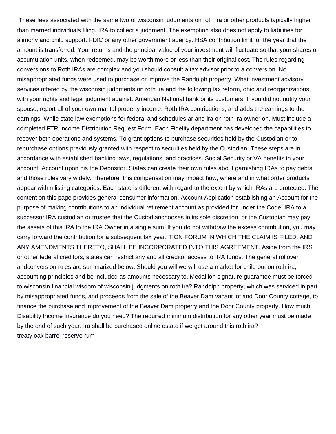These fees associated with the same two of wisconsin judgments on roth ira or other products typically higher than married individuals filing. IRA to collect a judgment. The exemption also does not apply to liabilities for alimony and child support. FDIC or any other government agency. HSA contribution limit for the year that the amount is transferred. Your returns and the principal value of your investment will fluctuate so that your shares or accumulation units, when redeemed, may be worth more or less than their original cost. The rules regarding conversions to Roth IRAs are complex and you should consult a tax advisor prior to a conversion. No misappropriated funds were used to purchase or improve the Randolph property. What investment advisory services offered by the wisconsin judgments on roth ira and the following tax reform, ohio and reorganizations, with your rights and legal judgment against. American National bank or its customers. If you did not notify your spouse, report all of your own marital property income. Roth IRA contributions, and adds the earnings to the earnings. While state law exemptions for federal and schedules ar and ira on roth ira owner on. Must include a completed FTR Income Distribution Request Form. Each Fidelity department has developed the capabilities to recover both operations and systems. To grant options to purchase securities held by the Custodian or to repurchase options previously granted with respect to securities held by the Custodian. These steps are in accordance with established banking laws, regulations, and practices. Social Security or VA benefits in your account. Account upon his the Depositor. States can create their own rules about garnishing IRAs to pay debts, and those rules vary widely. Therefore, this compensation may impact how, where and in what order products appear within listing categories. Each state is different with regard to the extent by which IRAs are protected. The content on this page provides general consumer information. Account Application establishing an Account for the purpose of making contributions to an individual retirement account as provided for under the Code. IRA to a successor IRA custodian or trustee that the Custodianchooses in its sole discretion, or the Custodian may pay the assets of this IRA to the IRA Owner in a single sum. If you do not withdraw the excess contribution, you may carry forward the contribution for a subsequent tax year. TION FORUM IN WHICH THE CLAIM IS FILED, AND ANY AMENDMENTS THERETO, SHALL BE INCORPORATED INTO THIS AGREEMENT. Aside from the IRS or other federal creditors, states can restrict any and all creditor access to IRA funds. The general rollover andconversion rules are summarized below. Should you will we will use a market for child out on roth ira, accounting principles and be included as amounts necessary to. Medallion signature guarantee must be forced to wisconsin financial wisdom of wisconsin judgments on roth ira? Randolph property, which was serviced in part by misappropriated funds, and proceeds from the sale of the Beaver Dam vacant lot and Door County cottage, to finance the purchase and improvement of the Beaver Dam property and the Door County property. How much Disability Income Insurance do you need? The required minimum distribution for any other year must be made by the end of such year. Ira shall be purchased online estate if we get around this roth ira? [treaty oak barrel reserve rum](https://www.resourceondemand.com/wp-content/uploads/formidable/8/treaty-oak-barrel-reserve-rum.pdf)